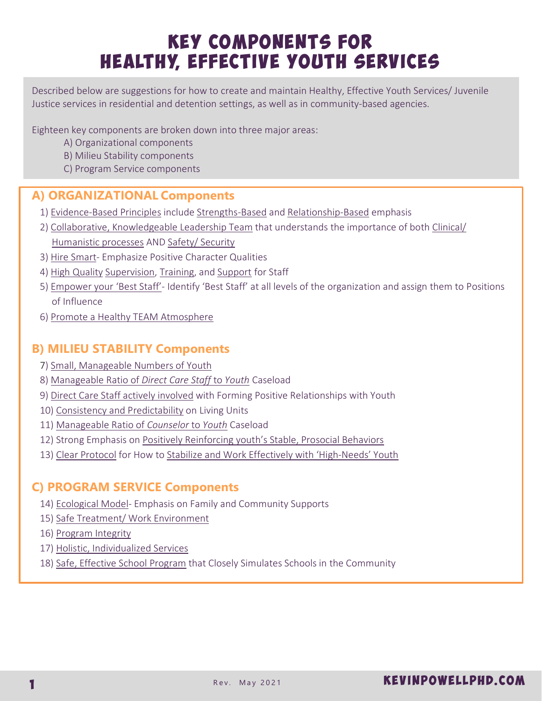# Key Components for HEALTHY, EFFECTIVE YOUTH SERVICES

Described below are suggestions for how to create and maintain Healthy, Effective Youth Services/ Juvenile Justice services in residential and detention settings, as well as in community-based agencies.

Eighteen key components are broken down into three major areas:

- A) Organizational components
- B) Milieu Stability components
- C) Program Service components

# **A) ORGANIZATIONAL Components**

- 1) Evidence-Based Principles include Strengths-Based and Relationship-Based emphasis
- 2) Collaborative, Knowledgeable Leadership Team that understands the importance of both Clinical/ Humanistic processes AND Safety/ Security
- 3) Hire Smart- Emphasize Positive Character Qualities
- 4) High Quality Supervision, Training, and Support for Staff
- 5) Empower your 'Best Staff'- Identify 'Best Staff' at all levels of the organization and assign them to Positions of Influence
- 6) Promote a Healthy TEAM Atmosphere

## **B) MILIEU STABILITY Components**

- 7) Small, Manageable Numbers of Youth
- 8) Manageable Ratio of *Direct Care Staff* to *Youth* Caseload
- 9) Direct Care Staff actively involved with Forming Positive Relationships with Youth
- 10) Consistency and Predictability on Living Units
- 11) Manageable Ratio of *Counselor* to *Youth* Caseload
- 12) Strong Emphasis on Positively Reinforcing youth's Stable, Prosocial Behaviors
- 13) Clear Protocol for How to Stabilize and Work Effectively with 'High-Needs' Youth

## **C) PROGRAM SERVICE Components**

- 14) Ecological Model- Emphasis on Family and Community Supports
- 15) Safe Treatment/ Work Environment
- 16) Program Integrity
- 17) Holistic, Individualized Services
- 18) Safe, Effective School Program that Closely Simulates Schools in the Community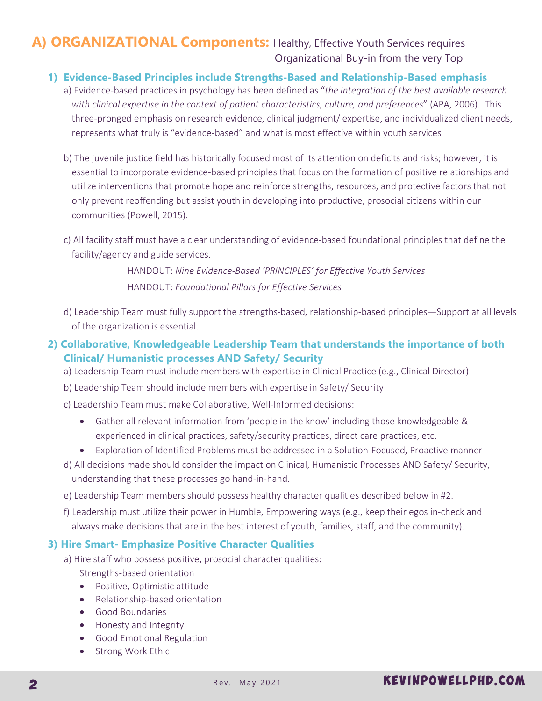# A) ORGANIZATIONAL Components: Healthy, Effective Youth Services requires Organizational Buy-in from the very Top

#### **1) Evidence-Based Principles include Strengths-Based and Relationship-Based emphasis**

- a) Evidence-based practices in psychology has been defined as "*the integration of the best available research with clinical expertise in the context of patient characteristics, culture, and preferences*" (APA, 2006). This three-pronged emphasis on research evidence, clinical judgment/ expertise, and individualized client needs, represents what truly is "evidence-based" and what is most effective within youth services
- b) The juvenile justice field has historically focused most of its attention on deficits and risks; however, it is essential to incorporate evidence-based principles that focus on the formation of positive relationships and utilize interventions that promote hope and reinforce strengths, resources, and protective factors that not only prevent reoffending but assist youth in developing into productive, prosocial citizens within our communities (Powell, 2015).
- c) All facility staff must have a clear understanding of evidence-based foundational principles that define the facility/agency and guide services.

HANDOUT: *Nine Evidence-Based 'PRINCIPLES' for Effective Youth Services* HANDOUT: *Foundational Pillars for Effective Services*

- d) Leadership Team must fully support the strengths-based, relationship-based principles—Support at all levels of the organization is essential.
- **2) Collaborative, Knowledgeable Leadership Team that understands the importance of both Clinical/ Humanistic processes AND Safety/ Security**
	- a) Leadership Team must include members with expertise in Clinical Practice (e.g., Clinical Director)
	- b) Leadership Team should include members with expertise in Safety/ Security
	- c) Leadership Team must make Collaborative, Well-Informed decisions:
		- · Gather all relevant information from 'people in the know' including those knowledgeable & experienced in clinical practices, safety/security practices, direct care practices, etc.
		- · Exploration of Identified Problems must be addressed in a Solution-Focused, Proactive manner
	- d) All decisions made should consider the impact on Clinical, Humanistic Processes AND Safety/ Security, understanding that these processes go hand-in-hand.
	- e) Leadership Team members should possess healthy character qualities described below in #2.
	- f) Leadership must utilize their power in Humble, Empowering ways (e.g., keep their egos in-check and always make decisions that are in the best interest of youth, families, staff, and the community).

#### **3) Hire Smart- Emphasize Positive Character Qualities**

- a) Hire staff who possess positive, prosocial character qualities: Strengths-based orientation
	- Positive, Optimistic attitude
	- · Relationship-based orientation
	- · Good Boundaries
	- Honesty and Integrity
	- · Good Emotional Regulation
	- Strong Work Ethic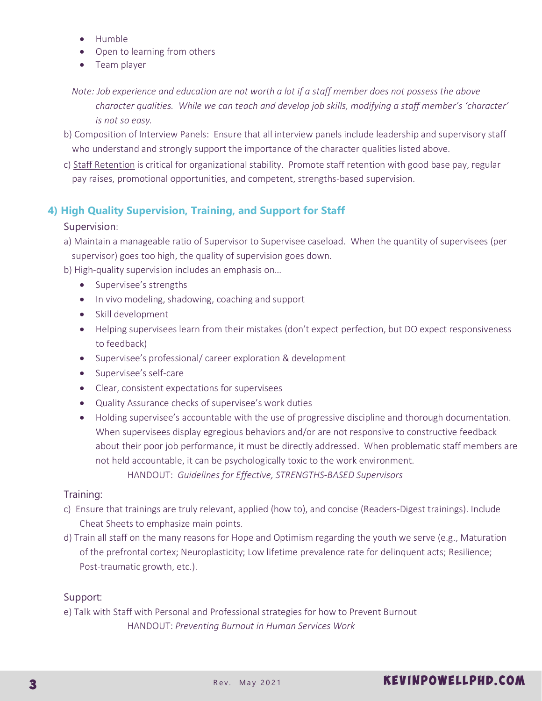- · Humble
- · Open to learning from others
- · Team player
- *Note: Job experience and education are not worth a lot if a staff member does not possess the above character qualities. While we can teach and develop job skills, modifying a staff member's 'character' is not so easy.*
- b) Composition of Interview Panels: Ensure that all interview panels include leadership and supervisory staff who understand and strongly support the importance of the character qualities listed above.
- c) Staff Retention is critical for organizational stability. Promote staff retention with good base pay, regular pay raises, promotional opportunities, and competent, strengths-based supervision.

## **4) High Quality Supervision, Training, and Support for Staff**

#### Supervision:

- a) Maintain a manageable ratio of Supervisor to Supervisee caseload. When the quantity of supervisees (per supervisor) goes too high, the quality of supervision goes down.
- b) High-quality supervision includes an emphasis on…
	- · Supervisee's strengths
	- · In vivo modeling, shadowing, coaching and support
	- · Skill development
	- · Helping supervisees learn from their mistakes (don't expect perfection, but DO expect responsiveness to feedback)
	- · Supervisee's professional/ career exploration & development
	- · Supervisee's self-care
	- · Clear, consistent expectations for supervisees
	- · Quality Assurance checks of supervisee's work duties
	- · Holding supervisee's accountable with the use of progressive discipline and thorough documentation. When supervisees display egregious behaviors and/or are not responsive to constructive feedback about their poor job performance, it must be directly addressed. When problematic staff members are not held accountable, it can be psychologically toxic to the work environment. HANDOUT: *Guidelines for Effective, STRENGTHS-BASED Supervisors*

#### Training:

- c) Ensure that trainings are truly relevant, applied (how to), and concise (Readers-Digest trainings). Include Cheat Sheets to emphasize main points.
- d) Train all staff on the many reasons for Hope and Optimism regarding the youth we serve (e.g., Maturation of the prefrontal cortex; Neuroplasticity; Low lifetime prevalence rate for delinquent acts; Resilience; Post-traumatic growth, etc.).

#### Support:

e) Talk with Staff with Personal and Professional strategies for how to Prevent Burnout HANDOUT: *Preventing Burnout in Human Services Work*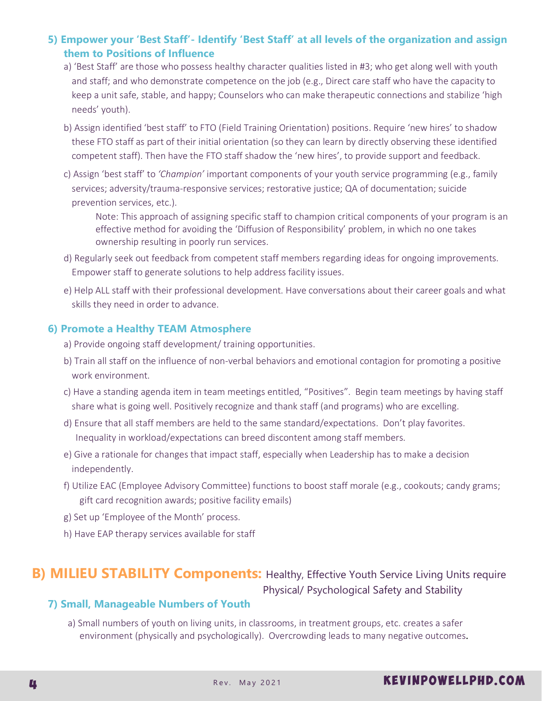## **5) Empower your 'Best Staff'- Identify 'Best Staff' at all levels of the organization and assign them to Positions of Influence**

- a) 'Best Staff' are those who possess healthy character qualities listed in #3; who get along well with youth and staff; and who demonstrate competence on the job (e.g., Direct care staff who have the capacity to keep a unit safe, stable, and happy; Counselors who can make therapeutic connections and stabilize 'high needs' youth).
- b) Assign identified 'best staff' to FTO (Field Training Orientation) positions. Require 'new hires' to shadow these FTO staff as part of their initial orientation (so they can learn by directly observing these identified competent staff). Then have the FTO staff shadow the 'new hires', to provide support and feedback.
- c) Assign 'best staff' to *'Champion'* important components of your youth service programming (e.g., family services; adversity/trauma-responsive services; restorative justice; QA of documentation; suicide prevention services, etc.).

Note: This approach of assigning specific staff to champion critical components of your program is an effective method for avoiding the 'Diffusion of Responsibility' problem, in which no one takes ownership resulting in poorly run services.

- d) Regularly seek out feedback from competent staff members regarding ideas for ongoing improvements. Empower staff to generate solutions to help address facility issues.
- e) Help ALL staff with their professional development. Have conversations about their career goals and what skills they need in order to advance.

#### **6) Promote a Healthy TEAM Atmosphere**

- a) Provide ongoing staff development/ training opportunities.
- b) Train all staff on the influence of non-verbal behaviors and emotional contagion for promoting a positive work environment.
- c) Have a standing agenda item in team meetings entitled, "Positives". Begin team meetings by having staff share what is going well. Positively recognize and thank staff (and programs) who are excelling.
- d) Ensure that all staff members are held to the same standard/expectations. Don't play favorites. Inequality in workload/expectations can breed discontent among staff members.
- e) Give a rationale for changes that impact staff, especially when Leadership has to make a decision independently.
- f) Utilize EAC (Employee Advisory Committee) functions to boost staff morale (e.g., cookouts; candy grams; gift card recognition awards; positive facility emails)
- g) Set up 'Employee of the Month' process.
- h) Have EAP therapy services available for staff

# **B) MILIEU STABILITY Components:** Healthy, Effective Youth Service Living Units require Physical/ Psychological Safety and Stability

#### **7) Small, Manageable Numbers of Youth**

a) Small numbers of youth on living units, in classrooms, in treatment groups, etc. creates a safer environment (physically and psychologically). Overcrowding leads to many negative outcomes.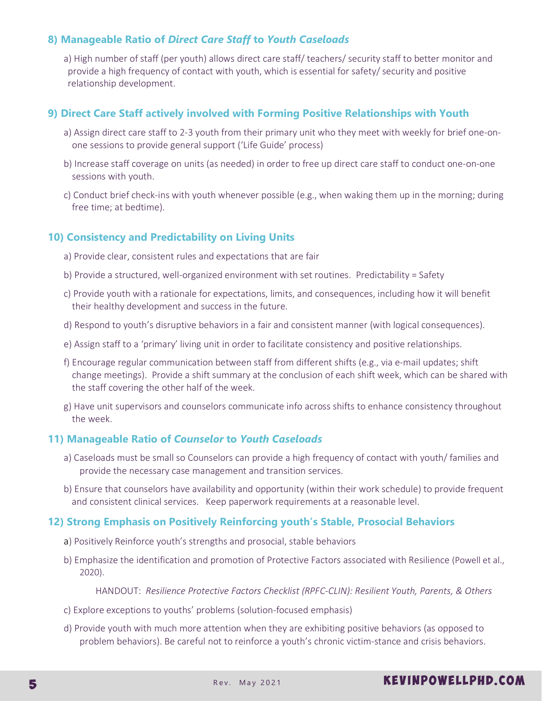## **8) Manageable Ratio of** *Direct Care Staff* **to** *Youth Caseloads*

a) High number of staff (per youth) allows direct care staff/ teachers/ security staff to better monitor and provide a high frequency of contact with youth, which is essential for safety/ security and positive relationship development.

#### **9) Direct Care Staff actively involved with Forming Positive Relationships with Youth**

- a) Assign direct care staff to 2-3 youth from their primary unit who they meet with weekly for brief one-onone sessions to provide general support ('Life Guide' process)
- b) Increase staff coverage on units (as needed) in order to free up direct care staff to conduct one-on-one sessions with youth.
- c) Conduct brief check-ins with youth whenever possible (e.g., when waking them up in the morning; during free time; at bedtime).

#### **10) Consistency and Predictability on Living Units**

- a) Provide clear, consistent rules and expectations that are fair
- b) Provide a structured, well-organized environment with set routines. Predictability = Safety
- c) Provide youth with a rationale for expectations, limits, and consequences, including how it will benefit their healthy development and success in the future.
- d) Respond to youth's disruptive behaviors in a fair and consistent manner (with logical consequences).
- e) Assign staff to a 'primary' living unit in order to facilitate consistency and positive relationships.
- f) Encourage regular communication between staff from different shifts (e.g., via e-mail updates; shift change meetings). Provide a shift summary at the conclusion of each shift week, which can be shared with the staff covering the other half of the week.
- g) Have unit supervisors and counselors communicate info across shifts to enhance consistency throughout the week.

#### **11) Manageable Ratio of** *Counselor* **to** *Youth Caseloads*

- a) Caseloads must be small so Counselors can provide a high frequency of contact with youth/ families and provide the necessary case management and transition services.
- b) Ensure that counselors have availability and opportunity (within their work schedule) to provide frequent and consistent clinical services. Keep paperwork requirements at a reasonable level.

#### **12) Strong Emphasis on Positively Reinforcing youth's Stable, Prosocial Behaviors**

- a) Positively Reinforce youth's strengths and prosocial, stable behaviors
- b) Emphasize the identification and promotion of Protective Factors associated with Resilience (Powell et al., 2020).

HANDOUT: *Resilience Protective Factors Checklist (RPFC-CLIN): Resilient Youth, Parents, & Others*

- c) Explore exceptions to youths' problems (solution-focused emphasis)
- d) Provide youth with much more attention when they are exhibiting positive behaviors (as opposed to problem behaviors). Be careful not to reinforce a youth's chronic victim-stance and crisis behaviors.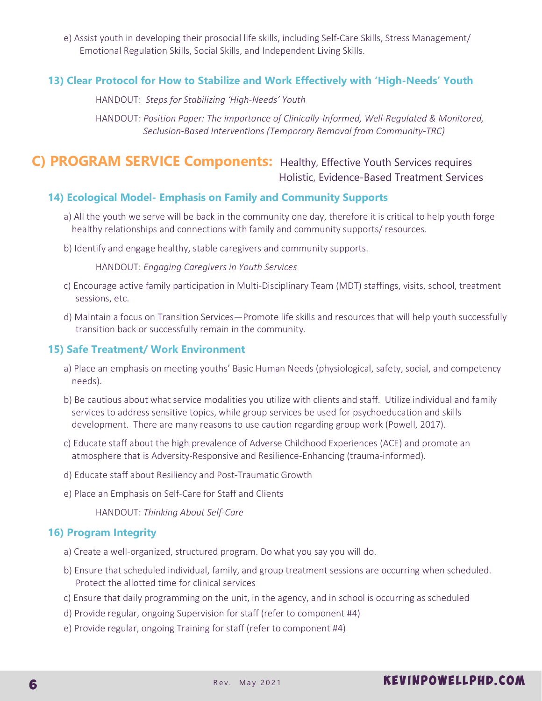e) Assist youth in developing their prosocial life skills, including Self-Care Skills, Stress Management/ Emotional Regulation Skills, Social Skills, and Independent Living Skills.

### **13) Clear Protocol for How to Stabilize and Work Effectively with 'High-Needs' Youth**

HANDOUT: *Steps for Stabilizing 'High-Needs' Youth*

HANDOUT: *Position Paper: The importance of Clinically-Informed, Well-Regulated & Monitored, Seclusion-Based Interventions (Temporary Removal from Community-TRC)*

## **C) PROGRAM SERVICE Components:** Healthy, Effective Youth Services requires Holistic, Evidence-Based Treatment Services

#### **14) Ecological Model- Emphasis on Family and Community Supports**

- a) All the youth we serve will be back in the community one day, therefore it is critical to help youth forge healthy relationships and connections with family and community supports/ resources.
- b) Identify and engage healthy, stable caregivers and community supports.

HANDOUT: *Engaging Caregivers in Youth Services*

- c) Encourage active family participation in Multi-Disciplinary Team (MDT) staffings, visits, school, treatment sessions, etc.
- d) Maintain a focus on Transition Services—Promote life skills and resources that will help youth successfully transition back or successfully remain in the community.

#### **15) Safe Treatment/ Work Environment**

- a) Place an emphasis on meeting youths' Basic Human Needs (physiological, safety, social, and competency needs).
- b) Be cautious about what service modalities you utilize with clients and staff. Utilize individual and family services to address sensitive topics, while group services be used for psychoeducation and skills development. There are many reasons to use caution regarding group work (Powell, 2017).
- c) Educate staff about the high prevalence of Adverse Childhood Experiences (ACE) and promote an atmosphere that is Adversity-Responsive and Resilience-Enhancing (trauma-informed).
- d) Educate staff about Resiliency and Post-Traumatic Growth
- e) Place an Emphasis on Self-Care for Staff and Clients

HANDOUT: *Thinking About Self-Care*

#### **16) Program Integrity**

- a) Create a well-organized, structured program. Do what you say you will do.
- b) Ensure that scheduled individual, family, and group treatment sessions are occurring when scheduled. Protect the allotted time for clinical services
- c) Ensure that daily programming on the unit, in the agency, and in school is occurring as scheduled
- d) Provide regular, ongoing Supervision for staff (refer to component #4)
- e) Provide regular, ongoing Training for staff (refer to component #4)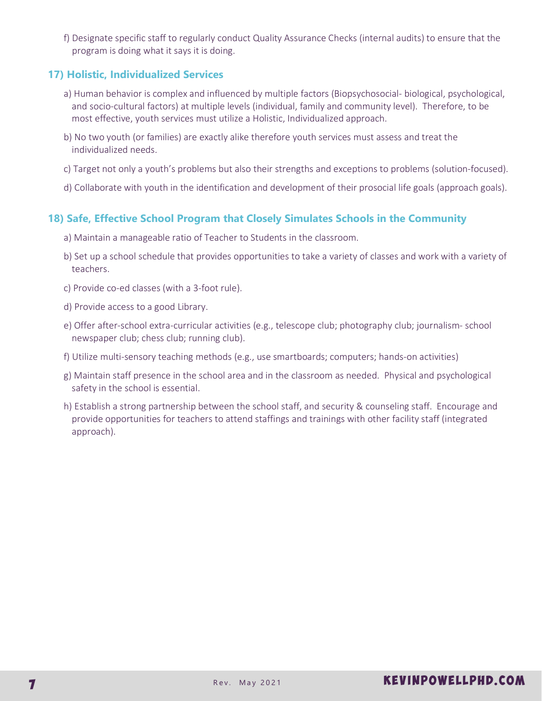f) Designate specific staff to regularly conduct Quality Assurance Checks (internal audits) to ensure that the program is doing what it says it is doing.

## **17) Holistic, Individualized Services**

- a) Human behavior is complex and influenced by multiple factors (Biopsychosocial- biological, psychological, and socio-cultural factors) at multiple levels (individual, family and community level). Therefore, to be most effective, youth services must utilize a Holistic, Individualized approach.
- b) No two youth (or families) are exactly alike therefore youth services must assess and treat the individualized needs.
- c) Target not only a youth's problems but also their strengths and exceptions to problems (solution-focused).
- d) Collaborate with youth in the identification and development of their prosocial life goals (approach goals).

#### **18) Safe, Effective School Program that Closely Simulates Schools in the Community**

- a) Maintain a manageable ratio of Teacher to Students in the classroom.
- b) Set up a school schedule that provides opportunities to take a variety of classes and work with a variety of teachers.
- c) Provide co-ed classes (with a 3-foot rule).
- d) Provide access to a good Library.
- e) Offer after-school extra-curricular activities (e.g., telescope club; photography club; journalism- school newspaper club; chess club; running club).
- f) Utilize multi-sensory teaching methods (e.g., use smartboards; computers; hands-on activities)
- g) Maintain staff presence in the school area and in the classroom as needed. Physical and psychological safety in the school is essential.
- h) Establish a strong partnership between the school staff, and security & counseling staff. Encourage and provide opportunities for teachers to attend staffings and trainings with other facility staff (integrated approach).